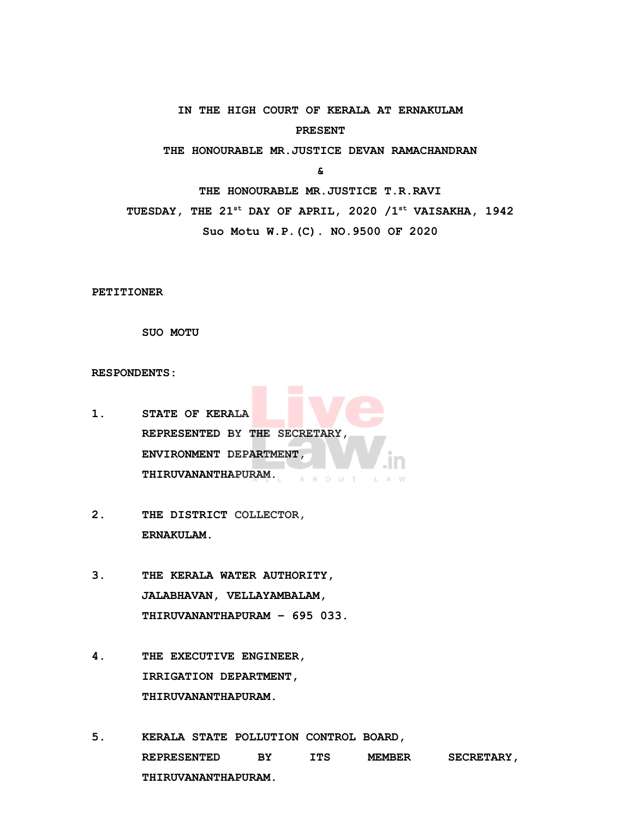**IN THE HIGH COURT OF KERALA AT ERNAKULAM PRESENT**

**THE HONOURABLE MR.JUSTICE DEVAN RAMACHANDRAN** 

**&**

**THE HONOURABLE MR.JUSTICE T.R.RAVI**

**TUESDAY, THE 21st DAY OF APRIL, 2020 /1st VAISAKHA, 1942**

**Suo Motu W.P.(C). NO.9500 OF 2020** 

**PETITIONER**

**SUO MOTU**

**RESPONDENTS:**

- **1. STATE OF KERALA REPRESENTED BY THE SECRETARY, ENVIRONMENT DEPARTMENT, THIRUVANANTHAPURAM.** A B O U T L A W
- **2. THE DISTRICT COLLECTOR, ERNAKULAM.**
- **3. THE KERALA WATER AUTHORITY, JALABHAVAN, VELLAYAMBALAM, THIRUVANANTHAPURAM – 695 033.**
- **4. THE EXECUTIVE ENGINEER, IRRIGATION DEPARTMENT, THIRUVANANTHAPURAM.**
- **5. KERALA STATE POLLUTION CONTROL BOARD, REPRESENTED BY ITS MEMBER SECRETARY, THIRUVANANTHAPURAM.**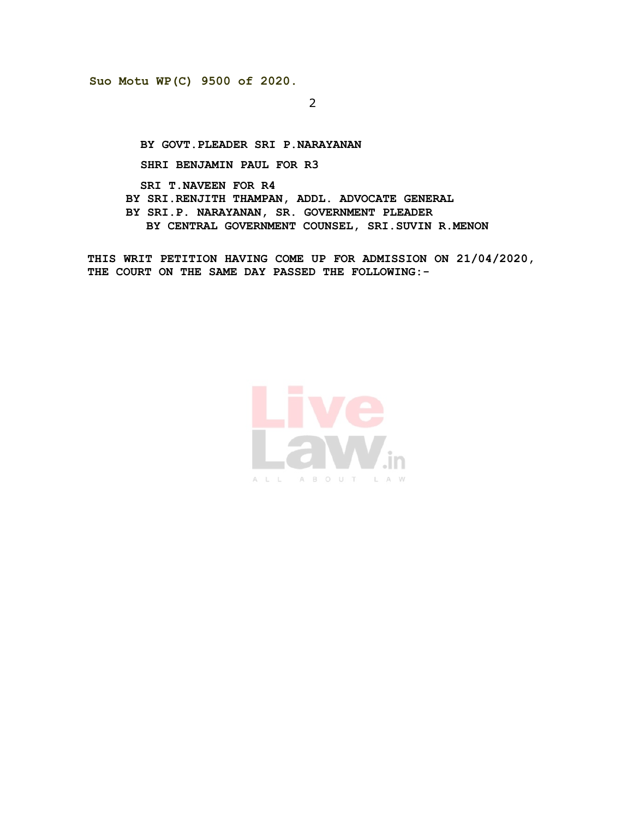2

**BY GOVT.PLEADER SRI P.NARAYANAN**

**SHRI BENJAMIN PAUL FOR R3**

 **SRI T.NAVEEN FOR R4 BY SRI.RENJITH THAMPAN, ADDL. ADVOCATE GENERAL BY SRI.P. NARAYANAN, SR. GOVERNMENT PLEADER BY CENTRAL GOVERNMENT COUNSEL, SRI.SUVIN R.MENON**

**THIS WRIT PETITION HAVING COME UP FOR ADMISSION ON 21/04/2020, THE COURT ON THE SAME DAY PASSED THE FOLLOWING:-**

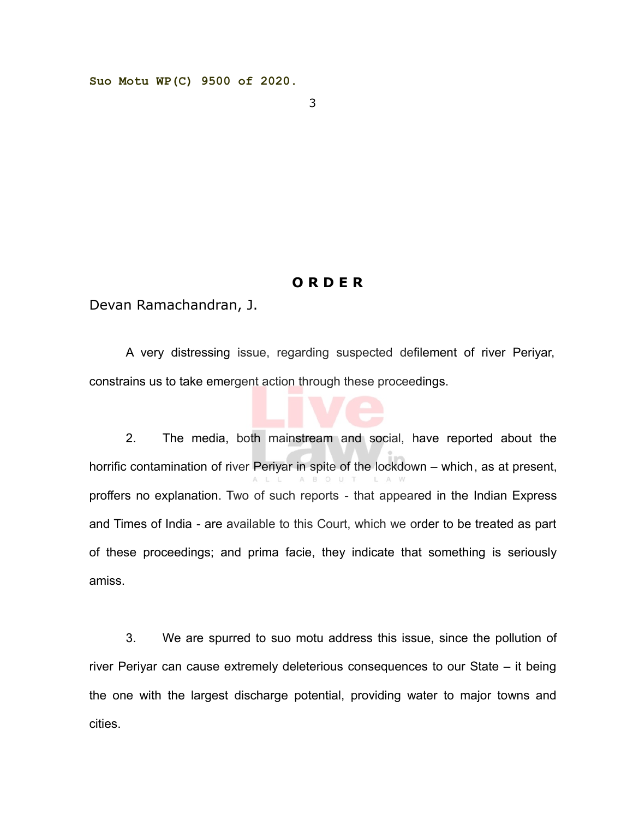3

## **O R D E R**

Devan Ramachandran, J.

A very distressing issue, regarding suspected defilement of river Periyar, constrains us to take emergent action through these proceedings.

2. The media, both mainstream and social, have reported about the horrific contamination of river Periyar in spite of the lockdown – which, as at present, proffers no explanation. Two of such reports - that appeared in the Indian Express and Times of India - are available to this Court, which we order to be treated as part of these proceedings; and prima facie, they indicate that something is seriously amiss.

3. We are spurred to suo motu address this issue, since the pollution of river Periyar can cause extremely deleterious consequences to our State – it being the one with the largest discharge potential, providing water to major towns and cities.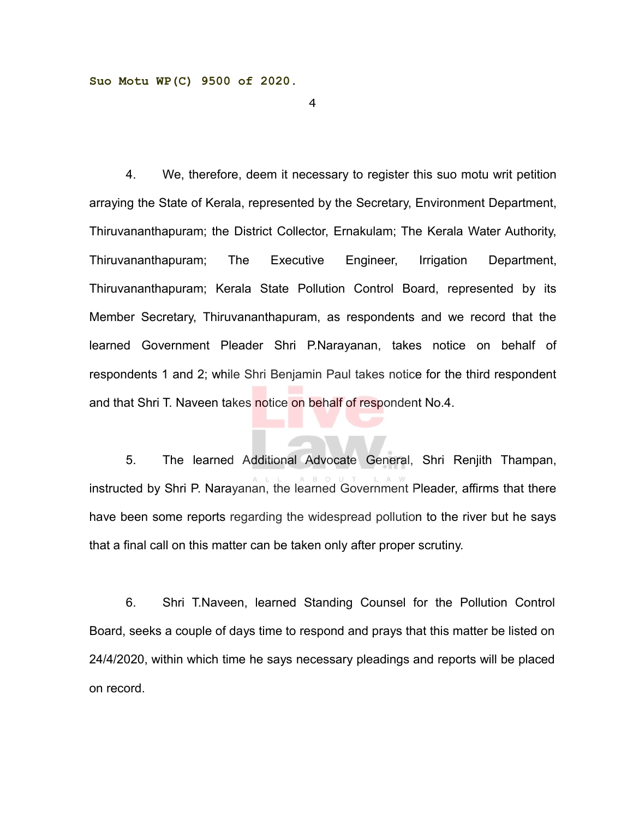4

4. We, therefore, deem it necessary to register this suo motu writ petition arraying the State of Kerala, represented by the Secretary, Environment Department, Thiruvananthapuram; the District Collector, Ernakulam; The Kerala Water Authority, Thiruvananthapuram; The Executive Engineer, Irrigation Department, Thiruvananthapuram; Kerala State Pollution Control Board, represented by its Member Secretary, Thiruvananthapuram, as respondents and we record that the learned Government Pleader Shri P.Narayanan, takes notice on behalf of respondents 1 and 2; while Shri Benjamin Paul takes notice for the third respondent and that Shri T. Naveen takes notice on behalf of respondent No.4.

5. The learned Additional Advocate General, Shri Renjith Thampan, instructed by Shri P. Narayanan, the learned Government Pleader, affirms that there have been some reports regarding the widespread pollution to the river but he says that a final call on this matter can be taken only after proper scrutiny.

6. Shri T.Naveen, learned Standing Counsel for the Pollution Control Board, seeks a couple of days time to respond and prays that this matter be listed on 24/4/2020, within which time he says necessary pleadings and reports will be placed on record.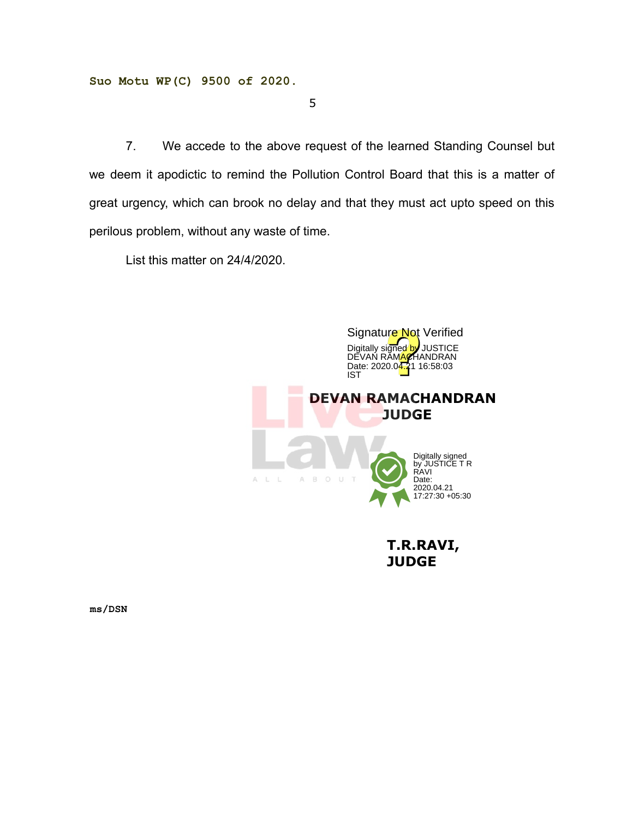5

7. We accede to the above request of the learned Standing Counsel but we deem it apodictic to remind the Pollution Control Board that this is a matter of great urgency, which can brook no delay and that they must act upto speed on this perilous problem, without any waste of time.

List this matter on 24/4/2020.



 **T.R.RAVI, JUDGE**

**ms/DSN**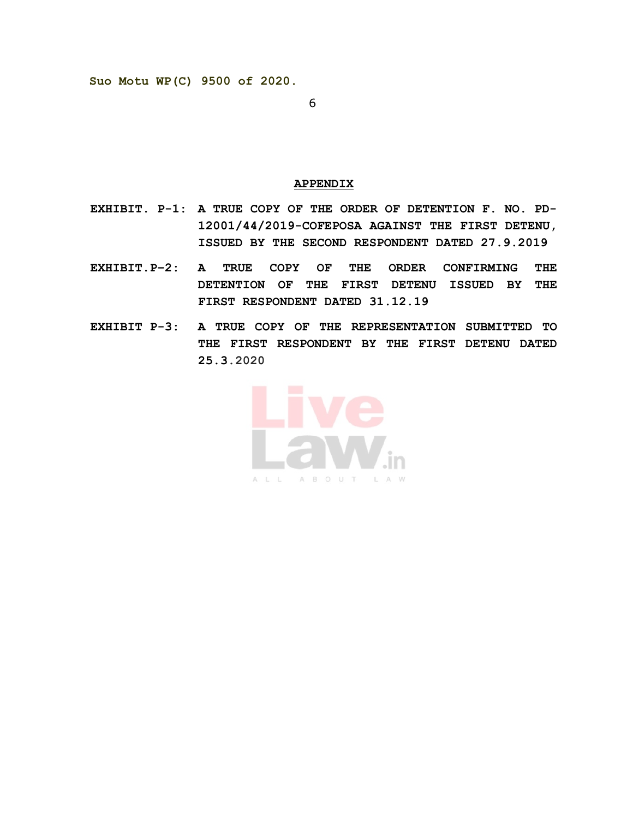6

## **APPENDIX**

- **EXHIBIT. P-1: A TRUE COPY OF THE ORDER OF DETENTION F. NO. PD-12001/44/2019-COFEPOSA AGAINST THE FIRST DETENU, ISSUED BY THE SECOND RESPONDENT DATED 27.9.2019**
- **EXHIBIT.P–2: A TRUE COPY OF THE ORDER CONFIRMING THE DETENTION OF THE FIRST DETENU ISSUED BY THE FIRST RESPONDENT DATED 31.12.19**
- **EXHIBIT P-3: A TRUE COPY OF THE REPRESENTATION SUBMITTED TO THE FIRST RESPONDENT BY THE FIRST DETENU DATED 25.3.2020**

ALL ABOUT LAW